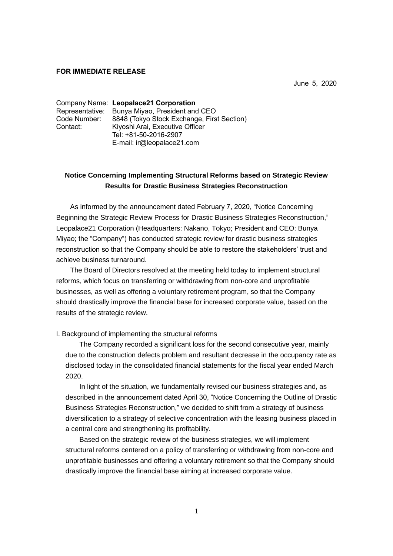## **FOR IMMEDIATE RELEASE**

June 5, 2020

|              | Company Name: Leopalace21 Corporation          |  |
|--------------|------------------------------------------------|--|
|              | Representative: Bunya Miyao, President and CEO |  |
| Code Number: | 8848 (Tokyo Stock Exchange, First Section)     |  |
| Contact:     | Kiyoshi Arai, Executive Officer                |  |
|              | Tel: +81-50-2016-2907                          |  |
|              | E-mail: ir@leopalace21.com                     |  |

## **Notice Concerning Implementing Structural Reforms based on Strategic Review Results for Drastic Business Strategies Reconstruction**

As informed by the announcement dated February 7, 2020, "Notice Concerning Beginning the Strategic Review Process for Drastic Business Strategies Reconstruction," Leopalace21 Corporation (Headquarters: Nakano, Tokyo; President and CEO: Bunya Miyao; the "Company") has conducted strategic review for drastic business strategies reconstruction so that the Company should be able to restore the stakeholders' trust and achieve business turnaround.

The Board of Directors resolved at the meeting held today to implement structural reforms, which focus on transferring or withdrawing from non-core and unprofitable businesses, as well as offering a voluntary retirement program, so that the Company should drastically improve the financial base for increased corporate value, based on the results of the strategic review.

## I. Background of implementing the structural reforms

The Company recorded a significant loss for the second consecutive year, mainly due to the construction defects problem and resultant decrease in the occupancy rate as disclosed today in the consolidated financial statements for the fiscal year ended March 2020.

In light of the situation, we fundamentally revised our business strategies and, as described in the announcement dated April 30, "Notice Concerning the Outline of Drastic Business Strategies Reconstruction," we decided to shift from a strategy of business diversification to a strategy of selective concentration with the leasing business placed in a central core and strengthening its profitability.

Based on the strategic review of the business strategies, we will implement structural reforms centered on a policy of transferring or withdrawing from non-core and unprofitable businesses and offering a voluntary retirement so that the Company should drastically improve the financial base aiming at increased corporate value.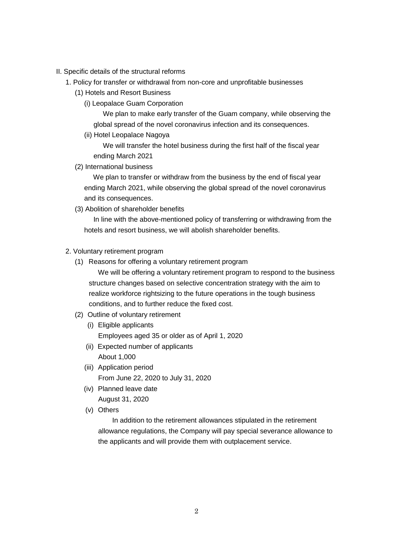- II. Specific details of the structural reforms
	- 1. Policy for transfer or withdrawal from non-core and unprofitable businesses
		- (1) Hotels and Resort Business
			- (i) Leopalace Guam Corporation

We plan to make early transfer of the Guam company, while observing the global spread of the novel coronavirus infection and its consequences.

(ii) Hotel Leopalace Nagoya

We will transfer the hotel business during the first half of the fiscal year ending March 2021

(2) International business

We plan to transfer or withdraw from the business by the end of fiscal year ending March 2021, while observing the global spread of the novel coronavirus and its consequences.

(3) Abolition of shareholder benefits

In line with the above-mentioned policy of transferring or withdrawing from the hotels and resort business, we will abolish shareholder benefits.

- 2. Voluntary retirement program
	- (1) Reasons for offering a voluntary retirement program

We will be offering a voluntary retirement program to respond to the business structure changes based on selective concentration strategy with the aim to realize workforce rightsizing to the future operations in the tough business conditions, and to further reduce the fixed cost.

- (2) Outline of voluntary retirement
	- (i) Eligible applicants Employees aged 35 or older as of April 1, 2020
	- (ii) Expected number of applicants About 1,000
	- (iii) Application period From June 22, 2020 to July 31, 2020
	- (iv) Planned leave date August 31, 2020
	- (v) Others

In addition to the retirement allowances stipulated in the retirement allowance regulations, the Company will pay special severance allowance to the applicants and will provide them with outplacement service.